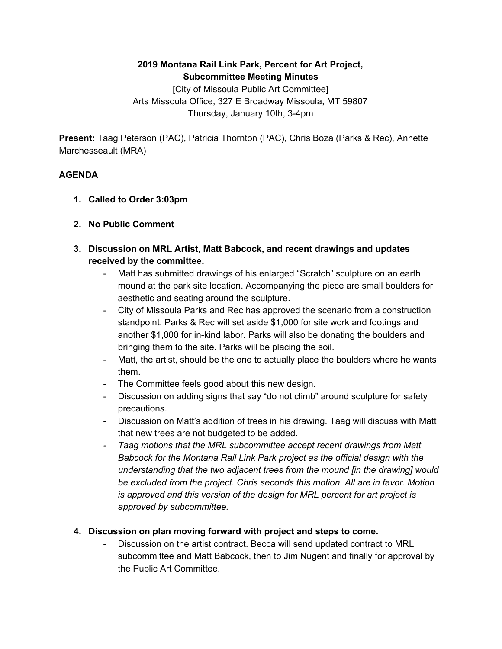## **2019 Montana Rail Link Park, Percent for Art Project, Subcommittee Meeting Minutes**

[City of Missoula Public Art Committee] Arts Missoula Office, 327 E Broadway Missoula, MT 59807 Thursday, January 10th, 3-4pm

**Present:** Taag Peterson (PAC), Patricia Thornton (PAC), Chris Boza (Parks & Rec), Annette Marchesseault (MRA)

## **AGENDA**

- **1. Called to Order 3:03pm**
- **2. No Public Comment**
- **3. Discussion on MRL Artist, Matt Babcock, and recent drawings and updates received by the committee.**
	- Matt has submitted drawings of his enlarged "Scratch" sculpture on an earth mound at the park site location. Accompanying the piece are small boulders for aesthetic and seating around the sculpture.
	- City of Missoula Parks and Rec has approved the scenario from a construction standpoint. Parks & Rec will set aside \$1,000 for site work and footings and another \$1,000 for in-kind labor. Parks will also be donating the boulders and bringing them to the site. Parks will be placing the soil.
	- Matt, the artist, should be the one to actually place the boulders where he wants them.
	- The Committee feels good about this new design.
	- Discussion on adding signs that say "do not climb" around sculpture for safety precautions.
	- Discussion on Matt's addition of trees in his drawing. Taag will discuss with Matt that new trees are not budgeted to be added.
	- *- Taag motions that the MRL subcommittee accept recent drawings from Matt Babcock for the Montana Rail Link Park project as the official design with the understanding that the two adjacent trees from the mound [in the drawing] would be excluded from the project. Chris seconds this motion. All are in favor. Motion is approved and this version of the design for MRL percent for art project is approved by subcommittee.*

## **4. Discussion on plan moving forward with project and steps to come.**

Discussion on the artist contract. Becca will send updated contract to MRL subcommittee and Matt Babcock, then to Jim Nugent and finally for approval by the Public Art Committee.